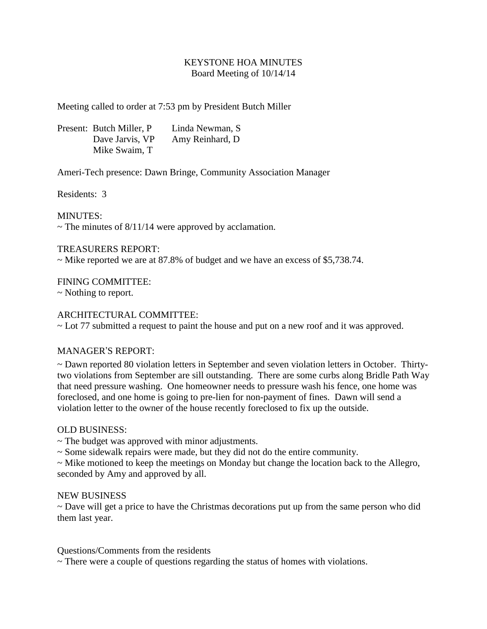# KEYSTONE HOA MINUTES Board Meeting of 10/14/14

Meeting called to order at 7:53 pm by President Butch Miller

Present: Butch Miller, P Linda Newman, S Dave Jarvis, VP Amy Reinhard, D Mike Swaim, T

Ameri-Tech presence: Dawn Bringe, Community Association Manager

Residents: 3

MINUTES:

 $\sim$  The minutes of 8/11/14 were approved by acclamation.

## TREASURERS REPORT:

~ Mike reported we are at 87.8% of budget and we have an excess of \$5,738.74.

FINING COMMITTEE:

~ Nothing to report.

### ARCHITECTURAL COMMITTEE:

~ Lot 77 submitted a request to paint the house and put on a new roof and it was approved.

#### MANAGER'S REPORT:

~ Dawn reported 80 violation letters in September and seven violation letters in October. Thirtytwo violations from September are sill outstanding. There are some curbs along Bridle Path Way that need pressure washing. One homeowner needs to pressure wash his fence, one home was foreclosed, and one home is going to pre-lien for non-payment of fines. Dawn will send a violation letter to the owner of the house recently foreclosed to fix up the outside.

#### OLD BUSINESS:

~ The budget was approved with minor adjustments.

~ Some sidewalk repairs were made, but they did not do the entire community.

~ Mike motioned to keep the meetings on Monday but change the location back to the Allegro, seconded by Amy and approved by all.

#### NEW BUSINESS

~ Dave will get a price to have the Christmas decorations put up from the same person who did them last year.

Questions/Comments from the residents

 $\sim$  There were a couple of questions regarding the status of homes with violations.